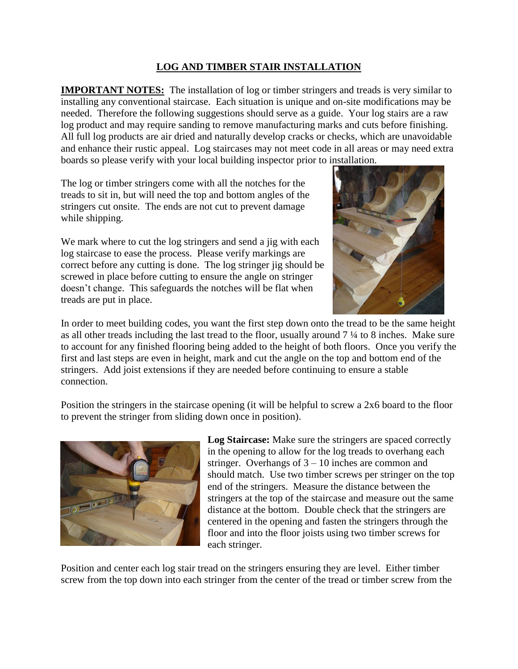## **LOG AND TIMBER STAIR INSTALLATION**

**IMPORTANT NOTES:** The installation of log or timber stringers and treads is very similar to installing any conventional staircase. Each situation is unique and on-site modifications may be needed. Therefore the following suggestions should serve as a guide. Your log stairs are a raw log product and may require sanding to remove manufacturing marks and cuts before finishing. All full log products are air dried and naturally develop cracks or checks, which are unavoidable and enhance their rustic appeal. Log staircases may not meet code in all areas or may need extra boards so please verify with your local building inspector prior to installation.

The log or timber stringers come with all the notches for the treads to sit in, but will need the top and bottom angles of the stringers cut onsite. The ends are not cut to prevent damage while shipping.

We mark where to cut the log stringers and send a jig with each log staircase to ease the process. Please verify markings are correct before any cutting is done. The log stringer jig should be screwed in place before cutting to ensure the angle on stringer doesn't change. This safeguards the notches will be flat when treads are put in place.



In order to meet building codes, you want the first step down onto the tread to be the same height as all other treads including the last tread to the floor, usually around 7 ¼ to 8 inches. Make sure to account for any finished flooring being added to the height of both floors. Once you verify the first and last steps are even in height, mark and cut the angle on the top and bottom end of the stringers. Add joist extensions if they are needed before continuing to ensure a stable connection.

Position the stringers in the staircase opening (it will be helpful to screw a 2x6 board to the floor to prevent the stringer from sliding down once in position).



**Log Staircase:** Make sure the stringers are spaced correctly in the opening to allow for the log treads to overhang each stringer. Overhangs of 3 – 10 inches are common and should match. Use two timber screws per stringer on the top end of the stringers. Measure the distance between the stringers at the top of the staircase and measure out the same distance at the bottom. Double check that the stringers are centered in the opening and fasten the stringers through the floor and into the floor joists using two timber screws for each stringer.

Position and center each log stair tread on the stringers ensuring they are level. Either timber screw from the top down into each stringer from the center of the tread or timber screw from the